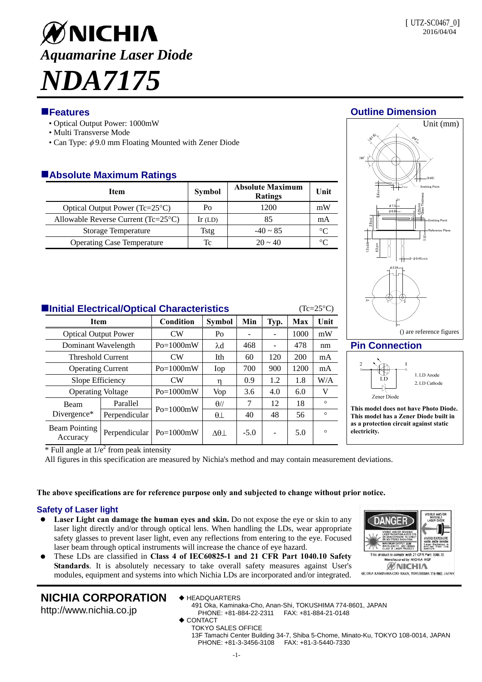# ØNICHIA *Aquamarine Laser Diode NDA7175*

# **Features Outline Dimension**

- Optical Output Power: 1000mW
- Multi Transverse Mode
- Can Type:  $\phi$ 9.0 mm Floating Mounted with Zener Diode

# **Absolute Maximum Ratings**

| <b>Item</b>                                    | <b>Symbol</b> | <b>Absolute Maximum</b><br><b>Ratings</b> | Unit |
|------------------------------------------------|---------------|-------------------------------------------|------|
| Optical Output Power ( $Tc=25^{\circ}C$ )      | Po            | 1200                                      | mW   |
| Allowable Reverse Current ( $Tc=25^{\circ}C$ ) | $Ir$ (LD)     | 85                                        | mA   |
| <b>Storage Temperature</b>                     | Tstg          | $-40 \sim 85$                             |      |
| <b>Operating Case Temperature</b>              | Tc            | $20 \sim 40$                              |      |





**This model does not have Photo Diode. This model has a Zener Diode built in as a protection circuit against static electricity.** 

ANG

red by NICHIA HO **WNICHIA** 491. OKA KAMINAKA CHO ANAN, TOKUSHIMA 774-8601 JAPAN

**Initial Electrical/Optical Characteristics** (Tc=25<sup>o</sup>C)

| <b>Item</b>                      |               | Condition           | <b>Symbol</b>  | Min    | Typ. | Max  | Unit    |
|----------------------------------|---------------|---------------------|----------------|--------|------|------|---------|
| <b>Optical Output Power</b>      |               | CW                  | P <sub>O</sub> |        |      | 1000 | mW      |
| Dominant Wavelength              |               | $Po=1000mW$         | $\lambda$ d    | 468    |      | 478  | nm      |
| <b>Threshold Current</b>         |               | $\overline{\rm CW}$ | Ith            | 60     | 120  | 200  | mA      |
| <b>Operating Current</b>         |               | $Po=1000mW$         | Iop            | 700    | 900  | 1200 | mA      |
| Slope Efficiency                 |               | CW                  | η              | 0.9    | 1.2  | 1.8  | W/A     |
| <b>Operating Voltage</b>         |               | $Po=1000mW$         | Vop            | 3.6    | 4.0  | 6.0  | V       |
| <b>Beam</b><br>Divergence*       | Parallel      | $Po=1000mW$         | $\theta$ //    | 7      | 12   | 18   | $\circ$ |
|                                  | Perpendicular |                     | $\theta\bot$   | 40     | 48   | 56   | $\circ$ |
| <b>Beam Pointing</b><br>Accuracy | Perpendicular | $Po=1000mW$         | $\Delta\theta$ | $-5.0$ |      | 5.0  | $\circ$ |

 $*$  Full angle at  $1/e^2$  from peak intensity

All figures in this specification are measured by Nichia's method and may contain measurement deviations.

### **The above specifications are for reference purpose only and subjected to change without prior notice.**

# **Safety of Laser light**

- **Laser Light can damage the human eyes and skin.** Do not expose the eye or skin to any laser light directly and/or through optical lens. When handling the LDs, wear appropriate safety glasses to prevent laser light, even any reflections from entering to the eye. Focused laser beam through optical instruments will increase the chance of eye hazard.
- These LDs are classified in **Class 4 of IEC60825-1 and 21 CFR Part 1040.10 Safety Standards**. It is absolutely necessary to take overall safety measures against User's modules, equipment and systems into which Nichia LDs are incorporated and/or integrated.

# **NICHIA CORPORATION**

http://www.nichia.co.jp

- ◆ HEADQUARTERS 491 Oka, Kaminaka-Cho, Anan-Shi, TOKUSHIMA 774-8601, JAPAN
	- PHONE: +81-884-22-2311 FAX: +81-884-21-0148
- ◆ CONTACT

TOKYO SALES OFFICE 13F Tamachi Center Building 34-7, Shiba 5-Chome, Minato-Ku, TOKYO 108-0014, JAPAN PHONE: +81-3-3456-3108 FAX: +81-3-5440-7330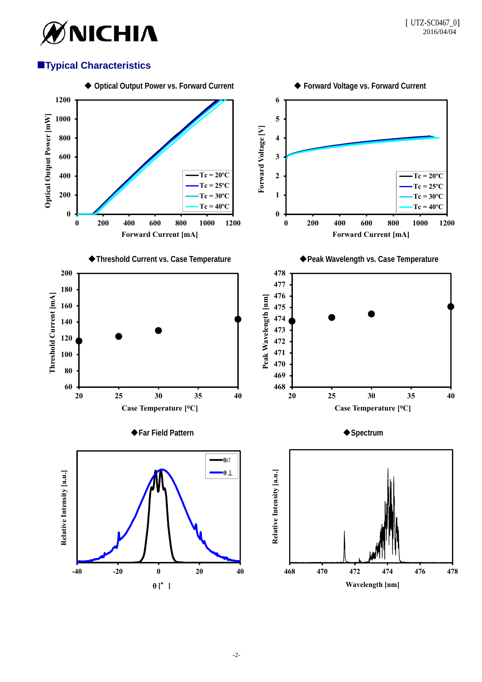

# **Typical Characteristics**